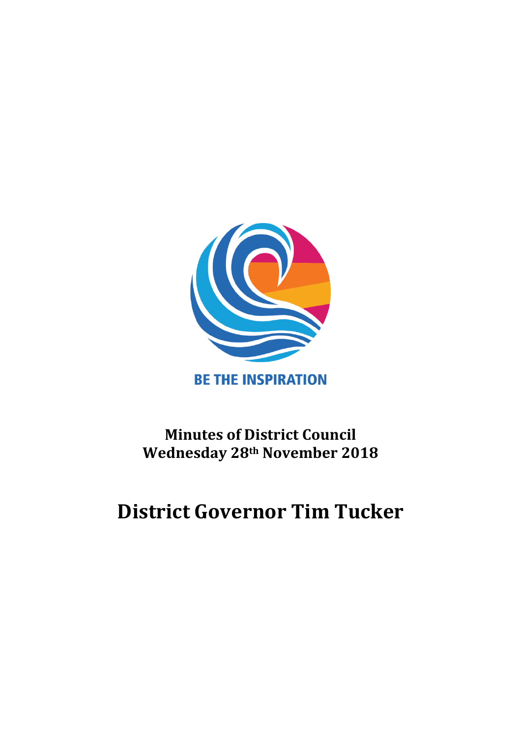

# **Minutes of District Council Wednesday 28th November 2018**

# **District Governor Tim Tucker**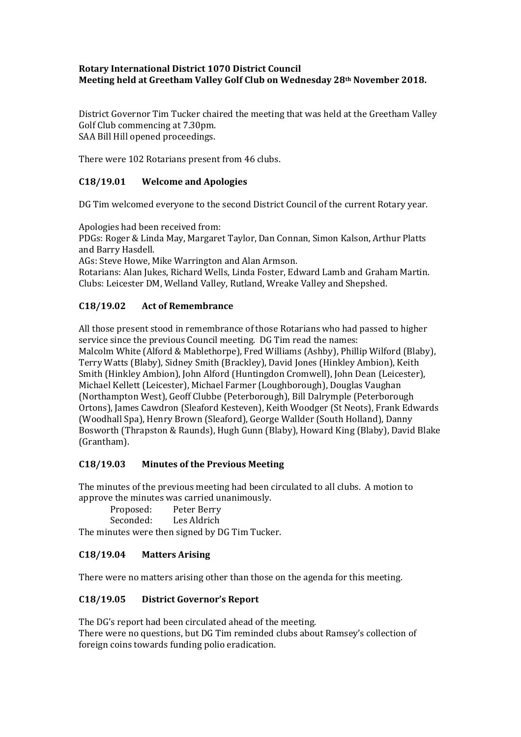#### **Rotary International District 1070 District Council Meeting held at Greetham Valley Golf Club on Wednesday 28th November 2018.**

District Governor Tim Tucker chaired the meeting that was held at the Greetham Valley Golf Club commencing at 7.30pm. SAA Bill Hill opened proceedings.

There were 102 Rotarians present from 46 clubs.

### **C18/19.01 Welcome and Apologies**

DG Tim welcomed everyone to the second District Council of the current Rotary year.

Apologies had been received from:

PDGs: Roger & Linda May, Margaret Taylor, Dan Connan, Simon Kalson, Arthur Platts and Barry Hasdell.

AGs: Steve Howe, Mike Warrington and Alan Armson.

Rotarians: Alan Jukes, Richard Wells, Linda Foster, Edward Lamb and Graham Martin. Clubs: Leicester DM, Welland Valley, Rutland, Wreake Valley and Shepshed.

# **C18/19.02 Act of Remembrance**

All those present stood in remembrance of those Rotarians who had passed to higher service since the previous Council meeting. DG Tim read the names: Malcolm White (Alford & Mablethorpe), Fred Williams (Ashby), Phillip Wilford (Blaby), Terry Watts (Blaby), Sidney Smith (Brackley), David Jones (Hinkley Ambion), Keith Smith (Hinkley Ambion), John Alford (Huntingdon Cromwell), John Dean (Leicester), Michael Kellett (Leicester), Michael Farmer (Loughborough), Douglas Vaughan (Northampton West), Geoff Clubbe (Peterborough), Bill Dalrymple (Peterborough Ortons), James Cawdron (Sleaford Kesteven), Keith Woodger (St Neots), Frank Edwards (Woodhall Spa), Henry Brown (Sleaford), George Wallder (South Holland), Danny Bosworth (Thrapston & Raunds), Hugh Gunn (Blaby), Howard King (Blaby), David Blake (Grantham).

#### **C18/19.03 Minutes of the Previous Meeting**

The minutes of the previous meeting had been circulated to all clubs. A motion to approve the minutes was carried unanimously.

| Proposed: | Peter Berry |
|-----------|-------------|
| Seconded: | Les Aldrich |

The minutes were then signed by DG Tim Tucker.

#### **C18/19.04 Matters Arising**

There were no matters arising other than those on the agenda for this meeting.

#### **C18/19.05 District Governor's Report**

The DG's report had been circulated ahead of the meeting. There were no questions, but DG Tim reminded clubs about Ramsey's collection of foreign coins towards funding polio eradication.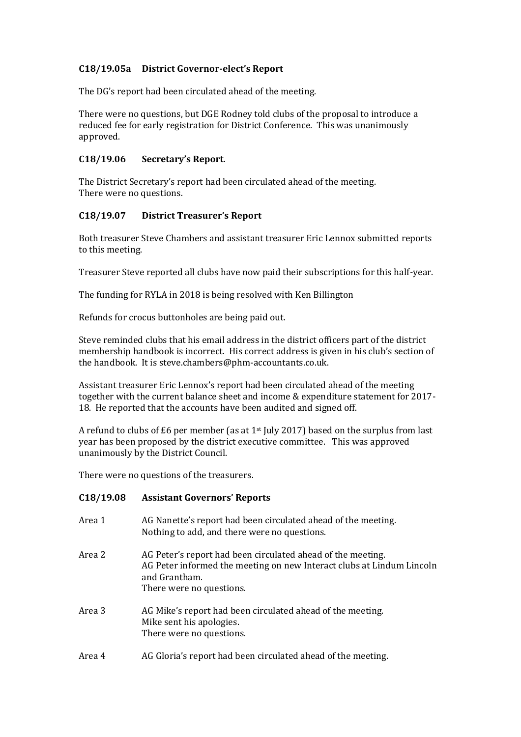### **C18/19.05a District Governor-elect's Report**

The DG's report had been circulated ahead of the meeting.

There were no questions, but DGE Rodney told clubs of the proposal to introduce a reduced fee for early registration for District Conference. This was unanimously approved.

#### **C18/19.06 Secretary's Report**.

The District Secretary's report had been circulated ahead of the meeting. There were no questions.

#### **C18/19.07 District Treasurer's Report**

Both treasurer Steve Chambers and assistant treasurer Eric Lennox submitted reports to this meeting.

Treasurer Steve reported all clubs have now paid their subscriptions for this half-year.

The funding for RYLA in 2018 is being resolved with Ken Billington

Refunds for crocus buttonholes are being paid out.

Steve reminded clubs that his email address in the district officers part of the district membership handbook is incorrect. His correct address is given in his club's section of the handbook. It is steve.chambers@phm-accountants.co.uk.

Assistant treasurer Eric Lennox's report had been circulated ahead of the meeting together with the current balance sheet and income & expenditure statement for 2017- 18. He reported that the accounts have been audited and signed off.

A refund to clubs of £6 per member (as at 1<sup>st</sup> July 2017) based on the surplus from last year has been proposed by the district executive committee. This was approved unanimously by the District Council.

There were no questions of the treasurers.

#### **C18/19.08 Assistant Governors' Reports**

| Area 1 | AG Nanette's report had been circulated ahead of the meeting.<br>Nothing to add, and there were no questions.                                                                     |
|--------|-----------------------------------------------------------------------------------------------------------------------------------------------------------------------------------|
| Area 2 | AG Peter's report had been circulated ahead of the meeting.<br>AG Peter informed the meeting on new Interact clubs at Lindum Lincoln<br>and Grantham.<br>There were no questions. |
| Area 3 | AG Mike's report had been circulated ahead of the meeting.<br>Mike sent his apologies.<br>There were no questions.                                                                |
| Area 4 | AG Gloria's report had been circulated ahead of the meeting.                                                                                                                      |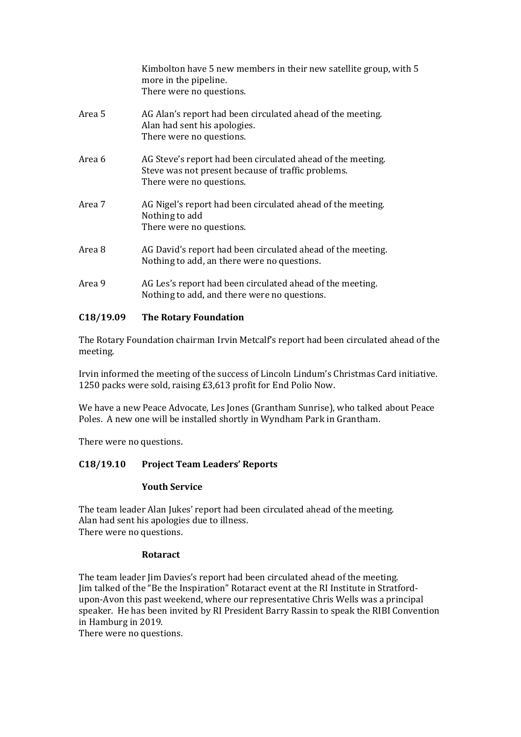|        | Kimbolton have 5 new members in their new satellite group, with 5<br>more in the pipeline.<br>There were no questions.                        |
|--------|-----------------------------------------------------------------------------------------------------------------------------------------------|
| Area 5 | AG Alan's report had been circulated ahead of the meeting.<br>Alan had sent his apologies.<br>There were no questions.                        |
| Area 6 | AG Steve's report had been circulated ahead of the meeting.<br>Steve was not present because of traffic problems.<br>There were no questions. |
| Area 7 | AG Nigel's report had been circulated ahead of the meeting.<br>Nothing to add<br>There were no questions.                                     |
| Area 8 | AG David's report had been circulated ahead of the meeting.<br>Nothing to add, an there were no questions.                                    |
| Area 9 | AG Les's report had been circulated ahead of the meeting.<br>Nothing to add, and there were no questions.                                     |

# **C18/19.09 The Rotary Foundation**

The Rotary Foundation chairman Irvin Metcalf's report had been circulated ahead of the meeting.

Irvin informed the meeting of the success of Lincoln Lindum's Christmas Card initiative. 1250 packs were sold, raising £3,613 profit for End Polio Now.

We have a new Peace Advocate, Les Jones (Grantham Sunrise), who talked about Peace Poles. A new one will be installed shortly in Wyndham Park in Grantham.

There were no questions.

# **C18/19.10 Project Team Leaders' Reports**

#### **Youth Service**

The team leader Alan Jukes' report had been circulated ahead of the meeting. Alan had sent his apologies due to illness. There were no questions.

#### **Rotaract**

The team leader Jim Davies's report had been circulated ahead of the meeting. Jim talked of the "Be the Inspiration" Rotaract event at the RI Institute in Stratfordupon-Avon this past weekend, where our representative Chris Wells was a principal speaker. He has been invited by RI President Barry Rassin to speak the RIBI Convention in Hamburg in 2019.

There were no questions.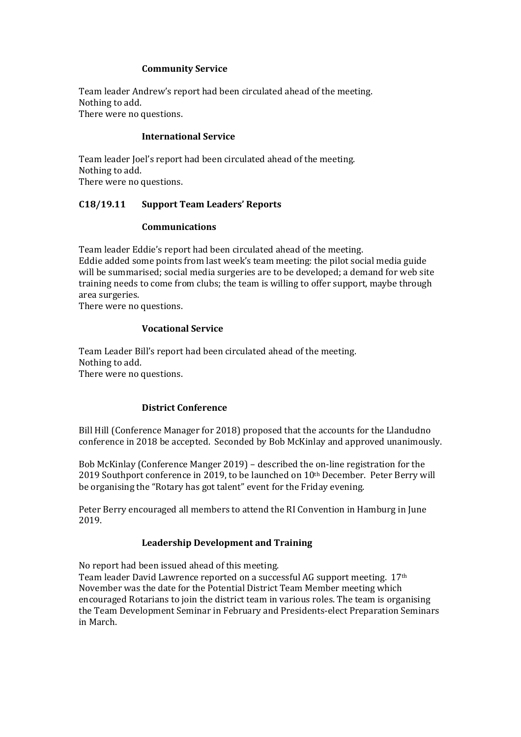#### **Community Service**

Team leader Andrew's report had been circulated ahead of the meeting. Nothing to add. There were no questions.

#### **International Service**

Team leader Joel's report had been circulated ahead of the meeting. Nothing to add. There were no questions.

# **C18/19.11 Support Team Leaders' Reports**

#### **Communications**

Team leader Eddie's report had been circulated ahead of the meeting. Eddie added some points from last week's team meeting: the pilot social media guide will be summarised; social media surgeries are to be developed; a demand for web site training needs to come from clubs; the team is willing to offer support, maybe through area surgeries.

There were no questions.

in March.

#### **Vocational Service**

Team Leader Bill's report had been circulated ahead of the meeting. Nothing to add. There were no questions.

#### **District Conference**

Bill Hill (Conference Manager for 2018) proposed that the accounts for the Llandudno conference in 2018 be accepted. Seconded by Bob McKinlay and approved unanimously.

Bob McKinlay (Conference Manger 2019) – described the on-line registration for the 2019 Southport conference in 2019, to be launched on 10<sup>th</sup> December. Peter Berry will be organising the "Rotary has got talent" event for the Friday evening.

Peter Berry encouraged all members to attend the RI Convention in Hamburg in June 2019.

#### **Leadership Development and Training**

No report had been issued ahead of this meeting. Team leader David Lawrence reported on a successful AG support meeting. 17th November was the date for the Potential District Team Member meeting which encouraged Rotarians to join the district team in various roles. The team is organising the Team Development Seminar in February and Presidents-elect Preparation Seminars